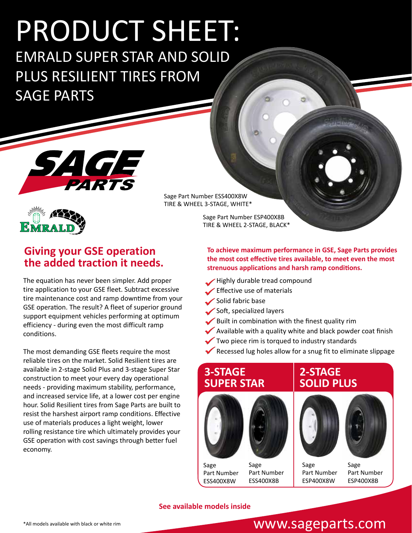# PRODUCT SHEET:

EMRALD SUPER STAR AND SOLID PLUS RESILIENT TIRES FROM SAGE PARTS





# **Giving your GSE operation the added traction it needs.**

The equation has never been simpler. Add proper tire application to your GSE fleet. Subtract excessive tire maintenance cost and ramp downtime from your GSE operation. The result? A fleet of superior ground support equipment vehicles performing at optimum efficiency - during even the most difficult ramp conditions.

The most demanding GSE fleets require the most reliable tires on the market. Solid Resilient tires are available in 2-stage Solid Plus and 3-stage Super Star construction to meet your every day operational needs - providing maximum stability, performance, and increased service life, at a lower cost per engine hour. Solid Resilient tires from Sage Parts are built to resist the harshest airport ramp conditions. Effective use of materials produces a light weight, lower rolling resistance tire which ultimately provides your GSE operation with cost savings through better fuel economy.

Sage Part Number ESS400X8W TIRE & WHEEL 3-STAGE, WHITE\*

> Sage Part Number ESP400X8B TIRE & WHEEL 2-STAGE, BLACK\*

**To achieve maximum performance in GSE, Sage Parts provides the most cost effective tires available, to meet even the most strenuous applications and harsh ramp conditions.**

- Highly durable tread compound
- Effective use of materials
- Solid fabric base
- Soft, specialized layers
- Built in combination with the finest quality rim
- Available with a quality white and black powder coat finish
- Two piece rim is torqued to industry standards
- Recessed lug holes allow for a snug fit to eliminate slippage

#### **3-STAGE SUPER STAR**



Sage Part Number ESS400X8W Sage Part Number ESS400X8B





Sage Part Number ESP400X8B

#### **See available models inside**

# www.sageparts.com

Sage Part Number ESP400X8W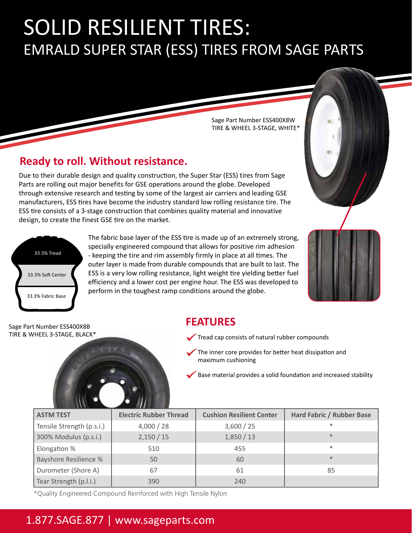# EMRALD SUPER STAR (ESS) TIRES FROM SAGE PARTS SOLID RESILIENT TIRES:

Sage Part Number ESS400X8W TIRE & WHEEL 3-STAGE, WHITE\*

# **Ready to roll. Without resistance.**

Due to their durable design and quality construction, the Super Star (ESS) tires from Sage Parts are rolling out major benefits for GSE operations around the globe. Developed through extensive research and testing by some of the largest air carriers and leading GSE manufacturers, ESS tires have become the industry standard low rolling resistance tire. The ESS tire consists of a 3-stage construction that combines quality material and innovative design, to create the finest GSE tire on the market.



The fabric base layer of the ESS tire is made up of an extremely strong, specially engineered compound that allows for positive rim adhesion - keeping the tire and rim assembly firmly in place at all times. The outer layer is made from durable compounds that are built to last. The ESS is a very low rolling resistance, light weight tire yielding better fuel efficiency and a lower cost per engine hour. The ESS was developed to perform in the toughest ramp conditions around the globe.



Sage Part Number ESS400X8B TIRE & WHEEL 3-STAGE, BLACK\*



## **FEATURES**

- Tread cap consists of natural rubber compounds
- The inner core provides for better heat dissipation and maximum cushioning
- Base material provides a solid foundation and increased stability

| <b>ASTM TEST</b>             | <b>Electric Rubber Thread</b> | <b>Cushion Resilient Center</b> | <b>Hard Fabric / Rubber Base</b> |
|------------------------------|-------------------------------|---------------------------------|----------------------------------|
| Tensile Strength (p.s.i.)    | 4,000 / 28                    | 3,600 / 25                      | $\ast$                           |
| 300% Modulus (p.s.i.)        | 2,150/15                      | 1,850/13                        | $*$                              |
| Elongation %                 | 510                           | 455                             | $\ast$                           |
| <b>Bayshore Resilience %</b> | 50                            | 60                              | $*$                              |
| Durometer (Shore A)          | 67                            | 61                              | 85                               |
| Tear Strength (p.l.i.)       | 390                           | 240                             |                                  |

\*Quality Engineered Compound Reinforced with High Tensile Nylon

# 1.877.SAGE.877 | www.sageparts.com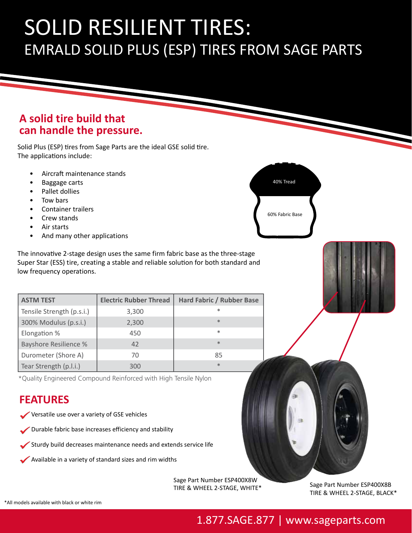# EMRALD SOLID PLUS (ESP) TIRES FROM SAGE PARTS SOLID RESILIENT TIRES:

### **A solid tire build that can handle the pressure.**

Solid Plus (ESP) tires from Sage Parts are the ideal GSE solid tire. The applications include:

- Aircraft maintenance stands
- Baggage carts
- Pallet dollies
- Tow bars
- Container trailers
- Crew stands
- Air starts
- And many other applications

The innovative 2-stage design uses the same firm fabric base as the three-stage Super Star (ESS) tire, creating a stable and reliable solution for both standard and<br>. low frequency operations.

| <b>ASTM TEST</b>             | <b>Electric Rubber Thread</b> | <b>Hard Fabric / Rubber Base</b> |  |
|------------------------------|-------------------------------|----------------------------------|--|
| Tensile Strength (p.s.i.)    | 3,300                         | $\ast$                           |  |
| 300% Modulus (p.s.i.)        | 2,300                         | $*$                              |  |
| Elongation %                 | 450                           | $\ast$                           |  |
| <b>Bayshore Resilience %</b> | 42                            | $*$                              |  |
| Durometer (Shore A)          | 70                            | 85                               |  |
| Tear Strength (p.l.i.)       | 300                           | $*$                              |  |

\*Quality Engineered Compound Reinforced with High Tensile Nylon

# **FEATURES**

- Versatile use over a variety of GSE vehicles
- Durable fabric base increases efficiency and stability
- Sturdy build decreases maintenance needs and extends service life
- Available in a variety of standard sizes and rim widths

Sage Part Number ESP400X8W TIRE & WHEEL 2-STAGE, WHITE\*







Sage Part Number ESP400X8B TIRE & WHEEL 2-STAGE, BLACK\*

# 1.877.SAGE.877 | www.sageparts.com